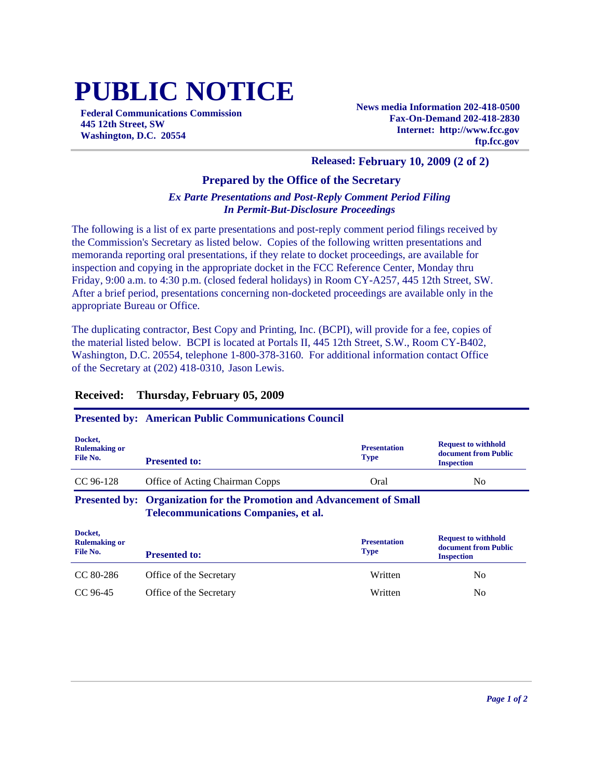# **PUBLIC NOTICE**

**Federal Communications Commission 445 12th Street, SW Washington, D.C. 20554**

**News media Information 202-418-0500 Fax-On-Demand 202-418-2830 Internet: http://www.fcc.gov ftp.fcc.gov**

## **Released: February 10, 2009 (2 of 2)**

### **Prepared by the Office of the Secretary**

#### *Ex Parte Presentations and Post-Reply Comment Period Filing In Permit-But-Disclosure Proceedings*

The following is a list of ex parte presentations and post-reply comment period filings received by the Commission's Secretary as listed below. Copies of the following written presentations and memoranda reporting oral presentations, if they relate to docket proceedings, are available for inspection and copying in the appropriate docket in the FCC Reference Center, Monday thru Friday, 9:00 a.m. to 4:30 p.m. (closed federal holidays) in Room CY-A257, 445 12th Street, SW. After a brief period, presentations concerning non-docketed proceedings are available only in the appropriate Bureau or Office.

The duplicating contractor, Best Copy and Printing, Inc. (BCPI), will provide for a fee, copies of the material listed below. BCPI is located at Portals II, 445 12th Street, S.W., Room CY-B402, Washington, D.C. 20554, telephone 1-800-378-3160. For additional information contact Office of the Secretary at (202) 418-0310, Jason Lewis.

#### **Received: Thursday, February 05, 2009**

|                                             | <b>Presented by: American Public Communications Council</b>                                                                 |                                    |                                                                         |
|---------------------------------------------|-----------------------------------------------------------------------------------------------------------------------------|------------------------------------|-------------------------------------------------------------------------|
| Docket,<br><b>Rulemaking or</b><br>File No. | <b>Presented to:</b>                                                                                                        | <b>Presentation</b><br><b>Type</b> | <b>Request to withhold</b><br>document from Public<br><b>Inspection</b> |
| $CC$ 96-128                                 | <b>Office of Acting Chairman Copps</b>                                                                                      | Oral                               | N <sub>0</sub>                                                          |
|                                             | <b>Presented by: Organization for the Promotion and Advancement of Small</b><br><b>Telecommunications Companies, et al.</b> |                                    |                                                                         |
| Docket,<br><b>Rulemaking or</b><br>File No. |                                                                                                                             | <b>Presentation</b>                | <b>Request to withhold</b>                                              |
|                                             | <b>Presented to:</b>                                                                                                        | <b>Type</b>                        | document from Public<br><b>Inspection</b>                               |
| CC 80-286                                   | Office of the Secretary                                                                                                     | Written                            | N <sub>0</sub>                                                          |
| CC 96-45                                    | Office of the Secretary                                                                                                     | Written                            | No.                                                                     |